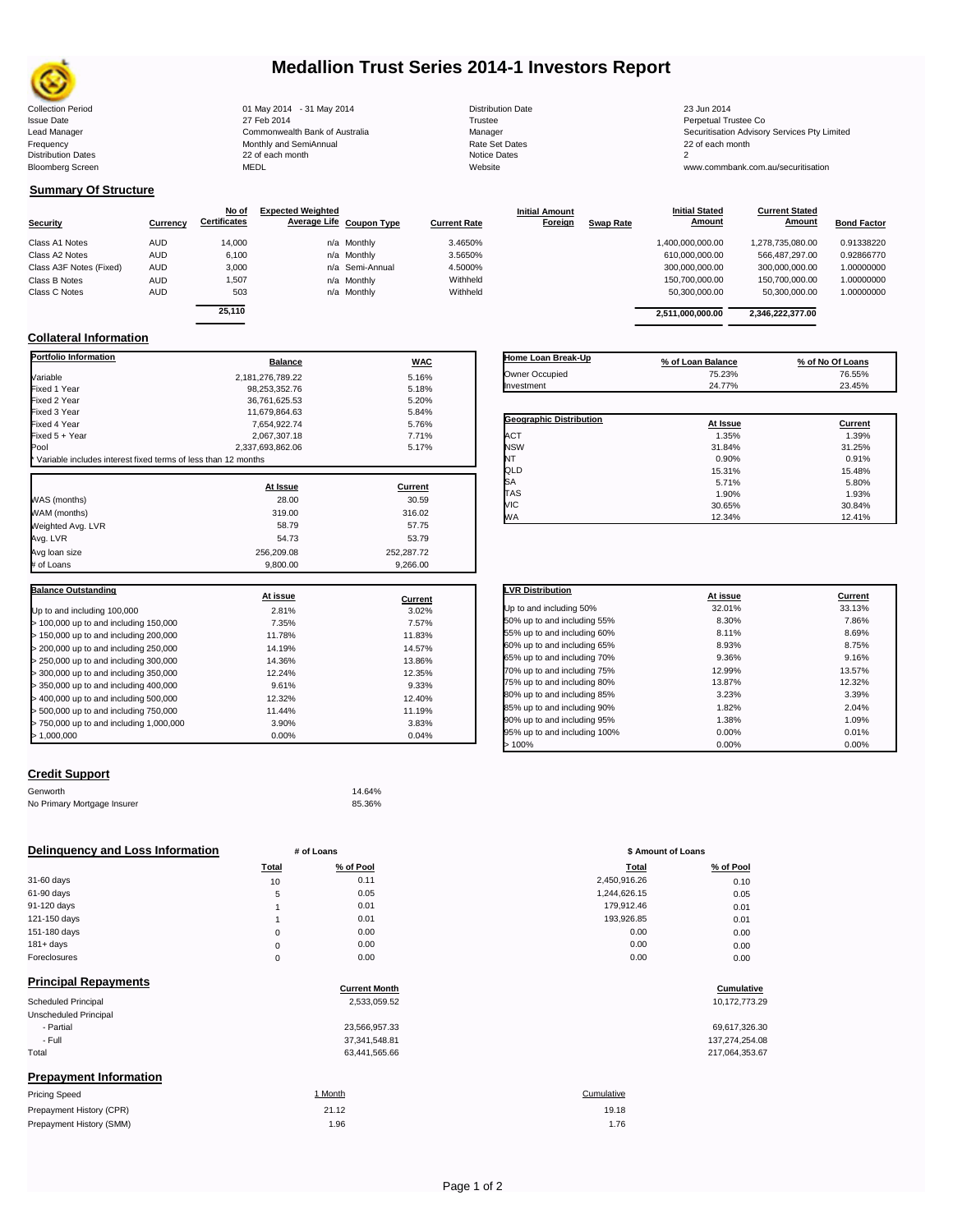

# **Medallion Trust Series 2014-1 Investors Report**

| <b>Collection Period</b>  | 01 May 2014 - 31 May 2014      | <b>Distribution Date</b> | 23 Jun 2014                             |
|---------------------------|--------------------------------|--------------------------|-----------------------------------------|
| <b>Issue Date</b>         | 27 Feb 2014                    | Trustee                  | Perpetual Trustee Co                    |
| Lead Manager              | Commonwealth Bank of Australia | Manager                  | Securitisation Advisory Services Pty Li |
| Frequency                 | Monthly and SemiAnnual         | <b>Rate Set Dates</b>    | 22 of each month                        |
| <b>Distribution Dates</b> | 22 of each month               | Notice Dates             |                                         |
| <b>Bloomberg Screen</b>   | <b>MEDL</b>                    | Website                  | www.commbank.com.au/securitisation      |
|                           |                                |                          |                                         |

**Current Stated** 

## **Summary Of Structure**

|                         |            | No of               | <b>Expected Weighted</b> |                          |                     | <b>Initial Amount</b> |                  | <b>Initial Stated</b> | <b>Current Stated</b> |                    |
|-------------------------|------------|---------------------|--------------------------|--------------------------|---------------------|-----------------------|------------------|-----------------------|-----------------------|--------------------|
| <b>Security</b>         | Currency   | <b>Certificates</b> |                          | Average Life Coupon Type | <b>Current Rate</b> | Foreign               | <b>Swap Rate</b> | Amount                | Amount                | <b>Bond Factor</b> |
| Class A1 Notes          | <b>AUD</b> | 14,000              |                          | n/a Monthly              | 3.4650%             |                       |                  | 1,400,000,000.00      | 1,278,735,080.00      | 0.91338220         |
| Class A2 Notes          | <b>AUD</b> | 6,100               |                          | n/a Monthly              | 3.5650%             |                       |                  | 610.000.000.00        | 566.487.297.00        | 0.92866770         |
| Class A3F Notes (Fixed) | <b>AUD</b> | 3,000               |                          | n/a Semi-Annual          | 4.5000%             |                       |                  | 300,000,000.00        | 300,000,000.00        | 1.00000000         |
| Class B Notes           | <b>AUD</b> | 1,507               |                          | n/a Monthly              | Withheld            |                       |                  | 150,700,000.00        | 150,700,000.00        | 1.00000000         |
| Class C Notes           | <b>AUD</b> | 503                 |                          | n/a Monthly              | Withheld            |                       |                  | 50,300,000.00         | 50.300.000.00         | 1.00000000         |
|                         |            | <b>OF 440</b>       |                          |                          |                     |                       |                  |                       |                       |                    |

| 25,110           |            |                         | 2,511,000,000.00  | 2,346,222,377.00 |
|------------------|------------|-------------------------|-------------------|------------------|
| <b>Balance</b>   |            | Home Loan Break-Up      |                   |                  |
|                  | <b>WAC</b> |                         | % of Loan Balance | % of No Of Loans |
| 2,181,276,789.22 | 5.16%      | Owner Occupied          | 75.23%            | 76.55%           |
| 98,253,352.76    | 5.18%      | Investment              | 24.77%            | 23.45%           |
| 36,761,625.53    | 5.20%      |                         |                   |                  |
| 11,679,864.63    | 5.84%      |                         |                   |                  |
| 7.654.922.74     | 5.76%      | Geographic Distribution | At Issue          | Current          |
| 2,067,307.18     | 7.71%      | <b>ACT</b>              | 1.35%             | 1.39%            |
| 2,337,693,862.06 | 5.17%      | <b>NSW</b>              | 31.84%            | 31.25%           |
| า 12 months      |            | NT                      | 0.90%             | 0.91%            |
|                  |            | QLD                     | 15.31%            | 15.48%           |
| At Issue         | Current    | SA                      | 5.71%             | 5.80%            |
| 0.000            | 0000       | <b>TAS</b>              | 1.90%             | 1.93%            |

VIC 30.65% 30.84% WA 12.34% 12.41%

**Initial Stated** 

## **Collateral Information**

| <b>Portfolio Information</b>                                  | <b>Balance</b>   | <b>WAC</b>     |
|---------------------------------------------------------------|------------------|----------------|
| Variable                                                      | 2.181.276.789.22 | 5.16%          |
| Fixed 1 Year                                                  | 98.253.352.76    | 5.18%          |
| Fixed 2 Year                                                  | 36.761.625.53    | 5.20%          |
| Fixed 3 Year                                                  | 11,679,864.63    | 5.84%          |
| Fixed 4 Year                                                  | 7,654,922.74     | 5.76%          |
| Fixed 5 + Year                                                | 2,067,307.18     | 7.71%          |
| Pool                                                          | 2,337,693,862.06 | 5.17%          |
| Variable includes interest fixed terms of less than 12 months |                  |                |
|                                                               | At Issue         | Current        |
| WAS (months)                                                  | 28.00            | 30.59          |
| WAM (months)                                                  | 319.00           | 316.02         |
| Weighted Avg. LVR                                             | 58.79            | 57.75          |
| Avg. LVR                                                      | 54.73            | 53.79          |
| Avg loan size                                                 | 256,209.08       | 252,287.72     |
| # of Loans                                                    | 9,800.00         | 9,266.00       |
|                                                               |                  |                |
| <b>Balance Outstanding</b>                                    |                  |                |
|                                                               | At issue         | <b>Current</b> |
| Up to and including 100,000                                   | 2.81%            | 3.02%          |
| > 100,000 up to and including 150,000                         | 7.35%            | 7.57%          |
| > 150,000 up to and including 200,000                         | 11.78%           | 11.83%         |
| > 200,000 up to and including 250,000                         | 14.19%           | 14.57%         |
| > 250,000 up to and including 300,000                         | 14.36%           | 13.86%         |
| > 300,000 up to and including 350,000                         | 12.24%           | 12.35%         |
| > 350,000 up to and including 400,000                         | 9.61%            | 9.33%          |
| > 400,000 up to and including 500,000                         | 12.32%           | 12.40%         |
| > 500,000 up to and including 750,000                         | 11.44%           | 11.19%         |
| > 750,000 up to and including 1,000,000                       | 3.90%            | 3.83%          |
| > 1,000,000                                                   | 0.00%            | 0.04%          |

## **Credit Support**

| Genworth                    | 14.64% |
|-----------------------------|--------|
| No Primary Mortgage Insurer | 85.36% |

## **Delinquency and Loss Information # of Loans # of Loans \$ Amount of Loans \$** Amount of Loans

|              | Total | % of Pool | Total        | % of Pool |
|--------------|-------|-----------|--------------|-----------|
| 31-60 days   | 10    | 0.11      | 2,450,916.26 | 0.10      |
| 61-90 days   | 5     | 0.05      | 1,244,626.15 | 0.05      |
| 91-120 days  |       | 0.01      | 179,912.46   | 0.01      |
| 121-150 days |       | 0.01      | 193,926.85   | 0.01      |
| 151-180 days | 0     | 0.00      | 0.00         | 0.00      |
| $181 + days$ | 0     | 0.00      | 0.00         | 0.00      |
| Foreclosures | 0     | 0.00      | 0.00         | 0.00      |
|              |       |           |              |           |

| <b>Principal Repayments</b>   |                      |            |                |
|-------------------------------|----------------------|------------|----------------|
|                               | <b>Current Month</b> |            | Cumulative     |
| Scheduled Principal           | 2,533,059.52         |            | 10,172,773.29  |
| Unscheduled Principal         |                      |            |                |
| - Partial                     | 23,566,957.33        |            | 69,617,326.30  |
| - Full                        | 37,341,548.81        |            | 137,274,254.08 |
| Total                         | 63,441,565.66        |            | 217,064,353.67 |
| <b>Prepayment Information</b> |                      |            |                |
| <b>Pricing Speed</b>          | 1 Month              | Cumulative |                |
| Prepayment History (CPR)      | 21.12                | 19.18      |                |
| Prepayment History (SMM)      | 1.96                 | 1.76       |                |
|                               |                      |            |                |

| <b>LVR Distribution</b>      | At issue | <b>Current</b> |
|------------------------------|----------|----------------|
| Up to and including 50%      | 32.01%   | 33.13%         |
| 50% up to and including 55%  | 8.30%    | 7.86%          |
| 55% up to and including 60%  | 8.11%    | 8.69%          |
| 60% up to and including 65%  | 8.93%    | 8.75%          |
| 65% up to and including 70%  | 9.36%    | 9.16%          |
| 70% up to and including 75%  | 12.99%   | 13.57%         |
| 75% up to and including 80%  | 13.87%   | 12.32%         |
| 80% up to and including 85%  | 3.23%    | 3.39%          |
| 85% up to and including 90%  | 1.82%    | 2.04%          |
| 90% up to and including 95%  | 1.38%    | 1.09%          |
| 95% up to and including 100% | 0.00%    | 0.01%          |
| >100%                        | 0.00%    | 0.00%          |

| ι υιαι       | 70 UI FUUI |
|--------------|------------|
| 2.450.916.26 | 0.10       |
| 1,244,626.15 | 0.05       |
| 179.912.46   | 0.01       |
| 193.926.85   | 0.01       |
| 0.00         | 0.00       |
| 0.00         | 0.00       |
| 0.00         | 0.00       |
|              |            |

# **Cumulative**

| 69.617.326.30  |
|----------------|
| 137,274,254.08 |
| 217,064,353.67 |